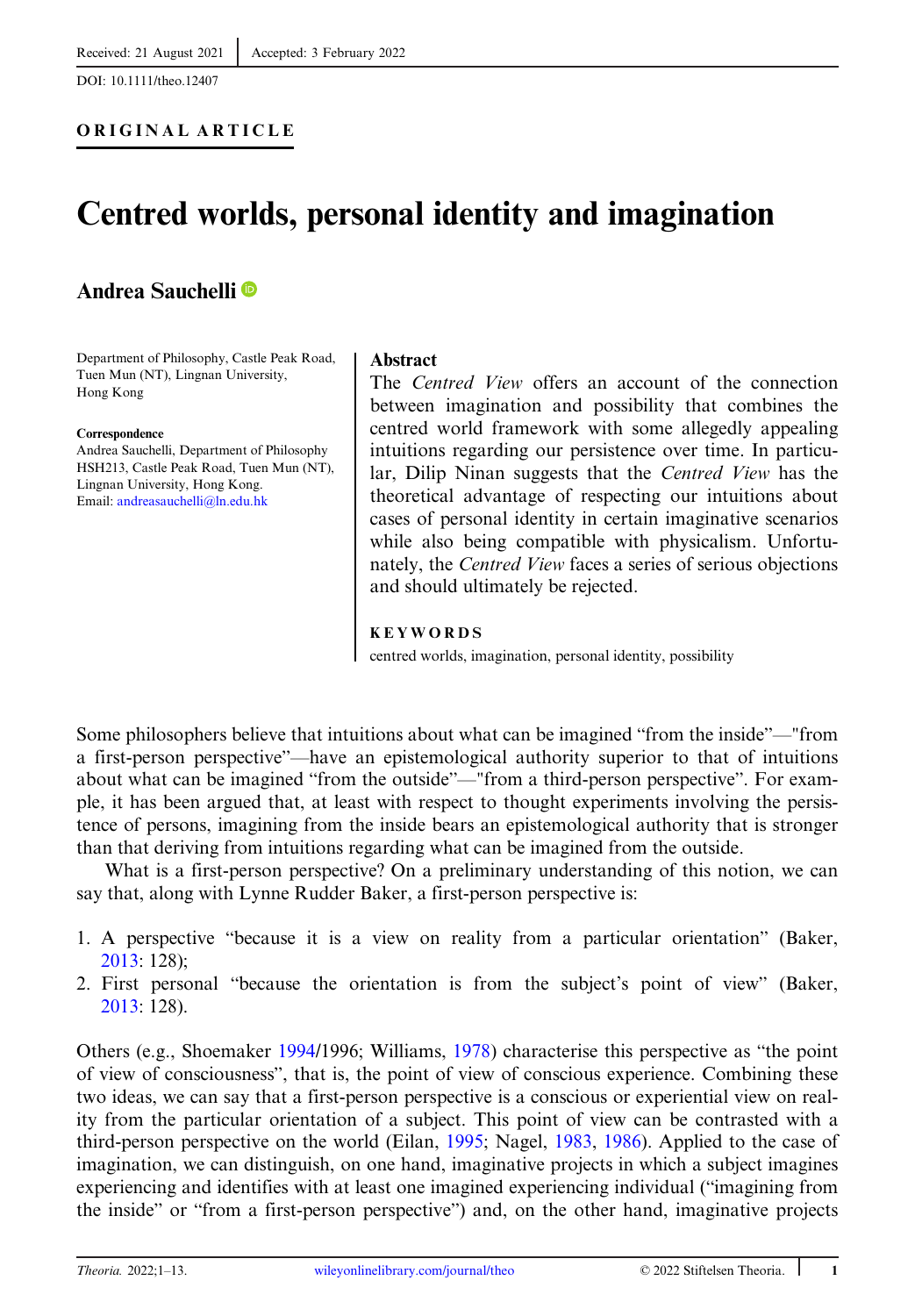DOI: 10.1111/theo.12407

# Centred worlds, personal identity and imagination

## Andrea Sauchelli

Department of Philosophy, Castle Peak Road, Tuen Mun (NT), Lingnan University, Hong Kong

#### Correspondence

Andrea Sauchelli, Department of Philosophy HSH213, Castle Peak Road, Tuen Mun (NT), Lingnan University, Hong Kong. Email: [andreasauchelli@ln.edu.hk](mailto:andreasauchelli@ln.edu.hk)

#### Abstract

The Centred View offers an account of the connection between imagination and possibility that combines the centred world framework with some allegedly appealing intuitions regarding our persistence over time. In particular, Dilip Ninan suggests that the Centred View has the theoretical advantage of respecting our intuitions about cases of personal identity in certain imaginative scenarios while also being compatible with physicalism. Unfortunately, the Centred View faces a series of serious objections and should ultimately be rejected.

#### KEYWORDS

centred worlds, imagination, personal identity, possibility

Some philosophers believe that intuitions about what can be imagined "from the inside"—"from a first-person perspective"—have an epistemological authority superior to that of intuitions about what can be imagined "from the outside"—"from a third-person perspective". For example, it has been argued that, at least with respect to thought experiments involving the persistence of persons, imagining from the inside bears an epistemological authority that is stronger than that deriving from intuitions regarding what can be imagined from the outside.

What is a first-person perspective? On a preliminary understanding of this notion, we can say that, along with Lynne Rudder Baker, a first-person perspective is:

- 1. A perspective "because it is a view on reality from a particular orientation" (Baker, [2013](#page-11-0): 128);
- 2. First personal "because the orientation is from the subject's point of view" (Baker, [2013](#page-11-0): 128).

Others (e.g., Shoemaker [1994](#page-12-0)/1996; Williams, [1978\)](#page-12-0) characterise this perspective as "the point of view of consciousness", that is, the point of view of conscious experience. Combining these two ideas, we can say that a first-person perspective is a conscious or experiential view on reality from the particular orientation of a subject. This point of view can be contrasted with a third-person perspective on the world (Eilan, [1995](#page-11-0); Nagel, [1983,](#page-11-0) [1986\)](#page-11-0). Applied to the case of imagination, we can distinguish, on one hand, imaginative projects in which a subject imagines experiencing and identifies with at least one imagined experiencing individual ("imagining from the inside" or "from a first-person perspective") and, on the other hand, imaginative projects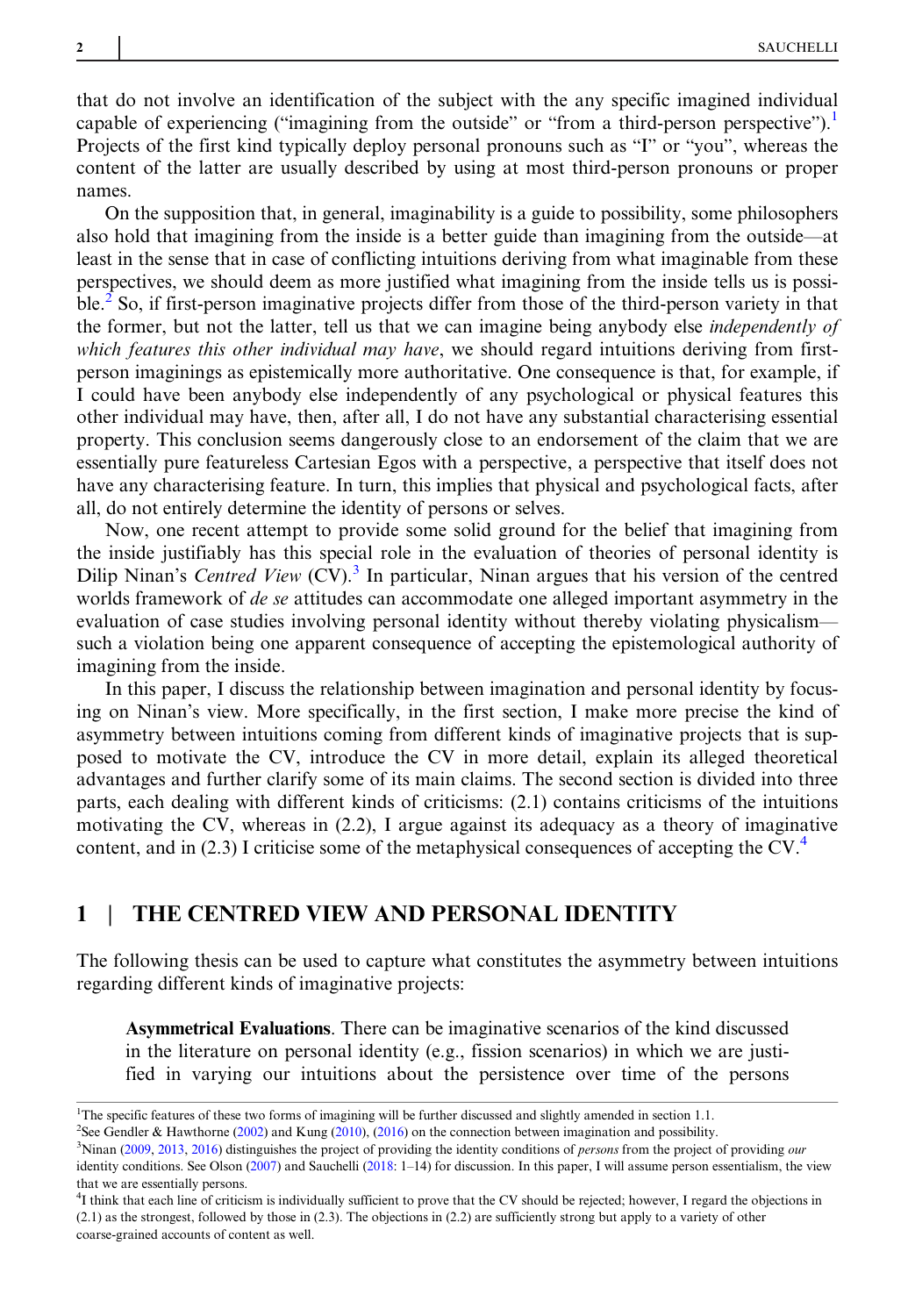that do not involve an identification of the subject with the any specific imagined individual capable of experiencing ("imagining from the outside" or "from a third-person perspective").<sup>1</sup> Projects of the first kind typically deploy personal pronouns such as "I" or "you", whereas the content of the latter are usually described by using at most third-person pronouns or proper names.

On the supposition that, in general, imaginability is a guide to possibility, some philosophers also hold that imagining from the inside is a better guide than imagining from the outside—at least in the sense that in case of conflicting intuitions deriving from what imaginable from these perspectives, we should deem as more justified what imagining from the inside tells us is possible.<sup>2</sup> So, if first-person imaginative projects differ from those of the third-person variety in that the former, but not the latter, tell us that we can imagine being anybody else independently of which features this other individual may have, we should regard intuitions deriving from firstperson imaginings as epistemically more authoritative. One consequence is that, for example, if I could have been anybody else independently of any psychological or physical features this other individual may have, then, after all, I do not have any substantial characterising essential property. This conclusion seems dangerously close to an endorsement of the claim that we are essentially pure featureless Cartesian Egos with a perspective, a perspective that itself does not have any characterising feature. In turn, this implies that physical and psychological facts, after all, do not entirely determine the identity of persons or selves.

Now, one recent attempt to provide some solid ground for the belief that imagining from the inside justifiably has this special role in the evaluation of theories of personal identity is Dilip Ninan's Centred View  $(CV)$ .<sup>3</sup> In particular, Ninan argues that his version of the centred worlds framework of *de se* attitudes can accommodate one alleged important asymmetry in the evaluation of case studies involving personal identity without thereby violating physicalism such a violation being one apparent consequence of accepting the epistemological authority of imagining from the inside.

In this paper, I discuss the relationship between imagination and personal identity by focusing on Ninan's view. More specifically, in the first section, I make more precise the kind of asymmetry between intuitions coming from different kinds of imaginative projects that is supposed to motivate the CV, introduce the CV in more detail, explain its alleged theoretical advantages and further clarify some of its main claims. The second section is divided into three parts, each dealing with different kinds of criticisms: (2.1) contains criticisms of the intuitions motivating the CV, whereas in (2.2), I argue against its adequacy as a theory of imaginative content, and in (2.3) I criticise some of the metaphysical consequences of accepting the  $CV^4$ .

## 1 | THE CENTRED VIEW AND PERSONAL IDENTITY

The following thesis can be used to capture what constitutes the asymmetry between intuitions regarding different kinds of imaginative projects:

Asymmetrical Evaluations. There can be imaginative scenarios of the kind discussed in the literature on personal identity (e.g., fission scenarios) in which we are justified in varying our intuitions about the persistence over time of the persons

<sup>&</sup>lt;sup>1</sup>The specific features of these two forms of imagining will be further discussed and slightly amended in section 1.1.

<sup>2</sup> See Gendler & Hawthorne ([2002\)](#page-11-0) and Kung ([2010\)](#page-11-0), ([2016](#page-11-0)) on the connection between imagination and possibility.

<sup>&</sup>lt;sup>3</sup>Ninan ([2009](#page-11-0), [2013,](#page-12-0) [2016\)](#page-12-0) distinguishes the project of providing the identity conditions of *persons* from the project of providing our identity conditions. See Olson ([2007\)](#page-12-0) and Sauchelli ([2018:](#page-12-0) 1-14) for discussion. In this paper, I will assume person essentialism, the view that we are essentially persons.

<sup>&</sup>lt;sup>4</sup>I think that each line of criticism is individually sufficient to prove that the CV should be rejected; however, I regard the objections in (2.1) as the strongest, followed by those in (2.3). The objections in (2.2) are sufficiently strong but apply to a variety of other coarse-grained accounts of content as well.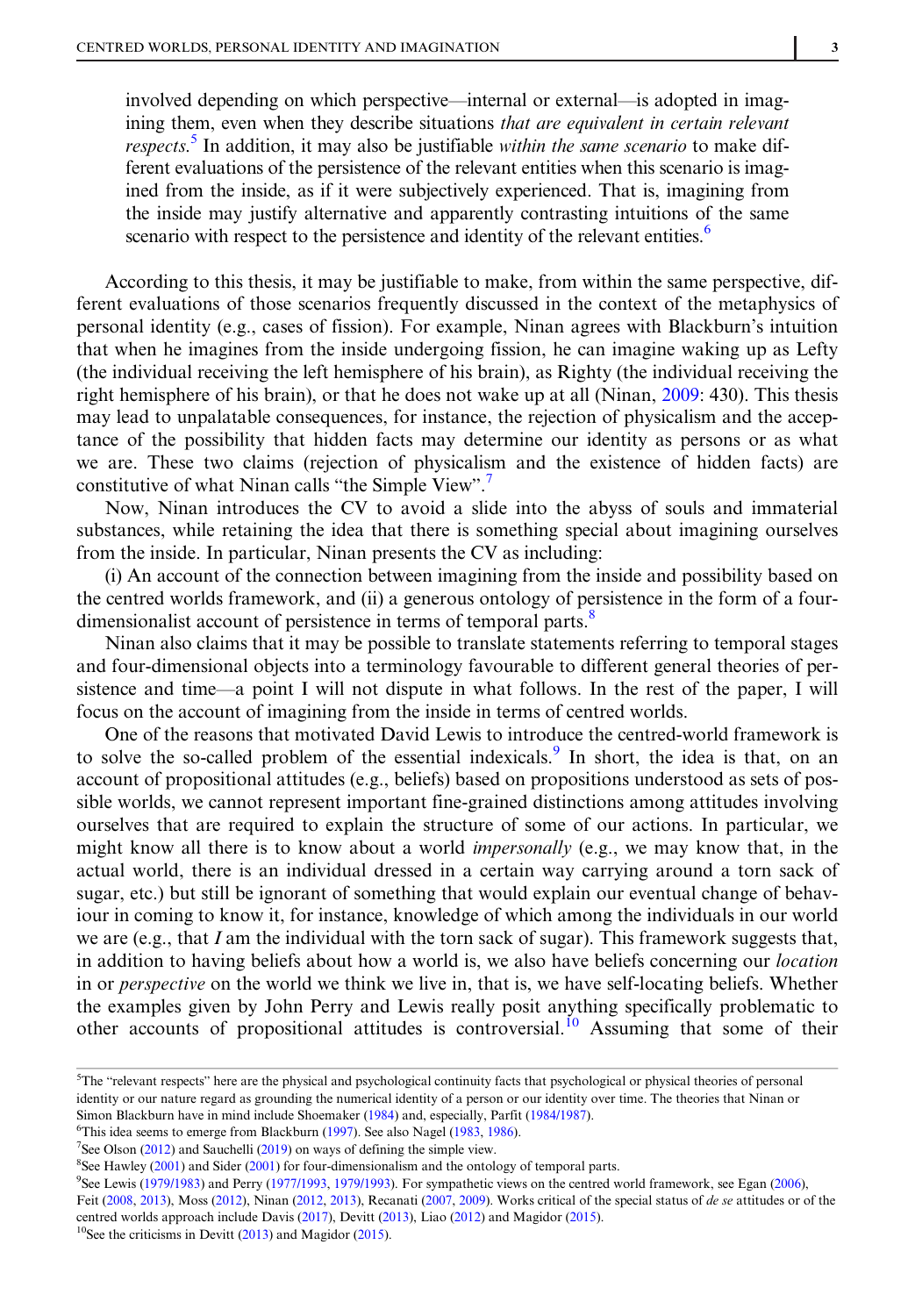involved depending on which perspective—internal or external—is adopted in imagining them, even when they describe situations that are equivalent in certain relevant respects.<sup>5</sup> In addition, it may also be justifiable within the same scenario to make different evaluations of the persistence of the relevant entities when this scenario is imagined from the inside, as if it were subjectively experienced. That is, imagining from the inside may justify alternative and apparently contrasting intuitions of the same scenario with respect to the persistence and identity of the relevant entities.<sup>6</sup>

According to this thesis, it may be justifiable to make, from within the same perspective, different evaluations of those scenarios frequently discussed in the context of the metaphysics of personal identity (e.g., cases of fission). For example, Ninan agrees with Blackburn's intuition that when he imagines from the inside undergoing fission, he can imagine waking up as Lefty (the individual receiving the left hemisphere of his brain), as Righty (the individual receiving the right hemisphere of his brain), or that he does not wake up at all (Ninan, [2009:](#page-11-0) 430). This thesis may lead to unpalatable consequences, for instance, the rejection of physicalism and the acceptance of the possibility that hidden facts may determine our identity as persons or as what we are. These two claims (rejection of physicalism and the existence of hidden facts) are constitutive of what Ninan calls "the Simple View". 7

Now, Ninan introduces the CV to avoid a slide into the abyss of souls and immaterial substances, while retaining the idea that there is something special about imagining ourselves from the inside. In particular, Ninan presents the CV as including:

(i) An account of the connection between imagining from the inside and possibility based on the centred worlds framework, and (ii) a generous ontology of persistence in the form of a fourdimensionalist account of persistence in terms of temporal parts.<sup>8</sup>

Ninan also claims that it may be possible to translate statements referring to temporal stages and four-dimensional objects into a terminology favourable to different general theories of persistence and time—a point I will not dispute in what follows. In the rest of the paper, I will focus on the account of imagining from the inside in terms of centred worlds.

One of the reasons that motivated David Lewis to introduce the centred-world framework is to solve the so-called problem of the essential indexicals.<sup>9</sup> In short, the idea is that, on an account of propositional attitudes (e.g., beliefs) based on propositions understood as sets of possible worlds, we cannot represent important fine-grained distinctions among attitudes involving ourselves that are required to explain the structure of some of our actions. In particular, we might know all there is to know about a world *impersonally* (e.g., we may know that, in the actual world, there is an individual dressed in a certain way carrying around a torn sack of sugar, etc.) but still be ignorant of something that would explain our eventual change of behaviour in coming to know it, for instance, knowledge of which among the individuals in our world we are (e.g., that I am the individual with the torn sack of sugar). This framework suggests that, in addition to having beliefs about how a world is, we also have beliefs concerning our location in or perspective on the world we think we live in, that is, we have self-locating beliefs. Whether the examples given by John Perry and Lewis really posit anything specifically problematic to other accounts of propositional attitudes is controversial.<sup>10</sup> Assuming that some of their

<sup>7</sup>See Olson ([2012\)](#page-12-0) and Sauchelli [\(2019](#page-12-0)) on ways of defining the simple view.

<sup>8</sup>See Hawley ([2001\)](#page-11-0) and Sider [\(2001](#page-12-0)) for four-dimensionalism and the ontology of temporal parts.

<sup>9</sup>See Lewis [\(1979/1983](#page-11-0)) and Perry [\(1977/1993](#page-12-0), [1979/1993\)](#page-12-0). For sympathetic views on the centred world framework, see Egan [\(2006](#page-11-0)), Feit ([2008,](#page-11-0) [2013](#page-12-0)), Moss [\(2012](#page-12-0)), Ninan (2012, 2013), Recanati ([2007,](#page-12-0) [2009](#page-12-0)). Works critical of the special status of de se attitudes or of the

centred worlds approach include Davis ([2017\)](#page-11-0), Devitt ([2013\)](#page-11-0), Liao ([2012\)](#page-11-0) and Magidor ([2015](#page-11-0)).

<sup>&</sup>lt;sup>5</sup>The "relevant respects" here are the physical and psychological continuity facts that psychological or physical theories of personal identity or our nature regard as grounding the numerical identity of a person or our identity over time. The theories that Ninan or Simon Blackburn have in mind include Shoemaker ([1984](#page-12-0)) and, especially, Parfit ([1984/1987\)](#page-12-0).

<sup>&</sup>lt;sup>6</sup>This idea seems to emerge from Blackburn [\(1997](#page-11-0)). See also Nagel [\(1983](#page-11-0), [1986](#page-11-0)).

 $10$ See the criticisms in Devitt [\(2013](#page-11-0)) and Magidor ([2015\)](#page-11-0).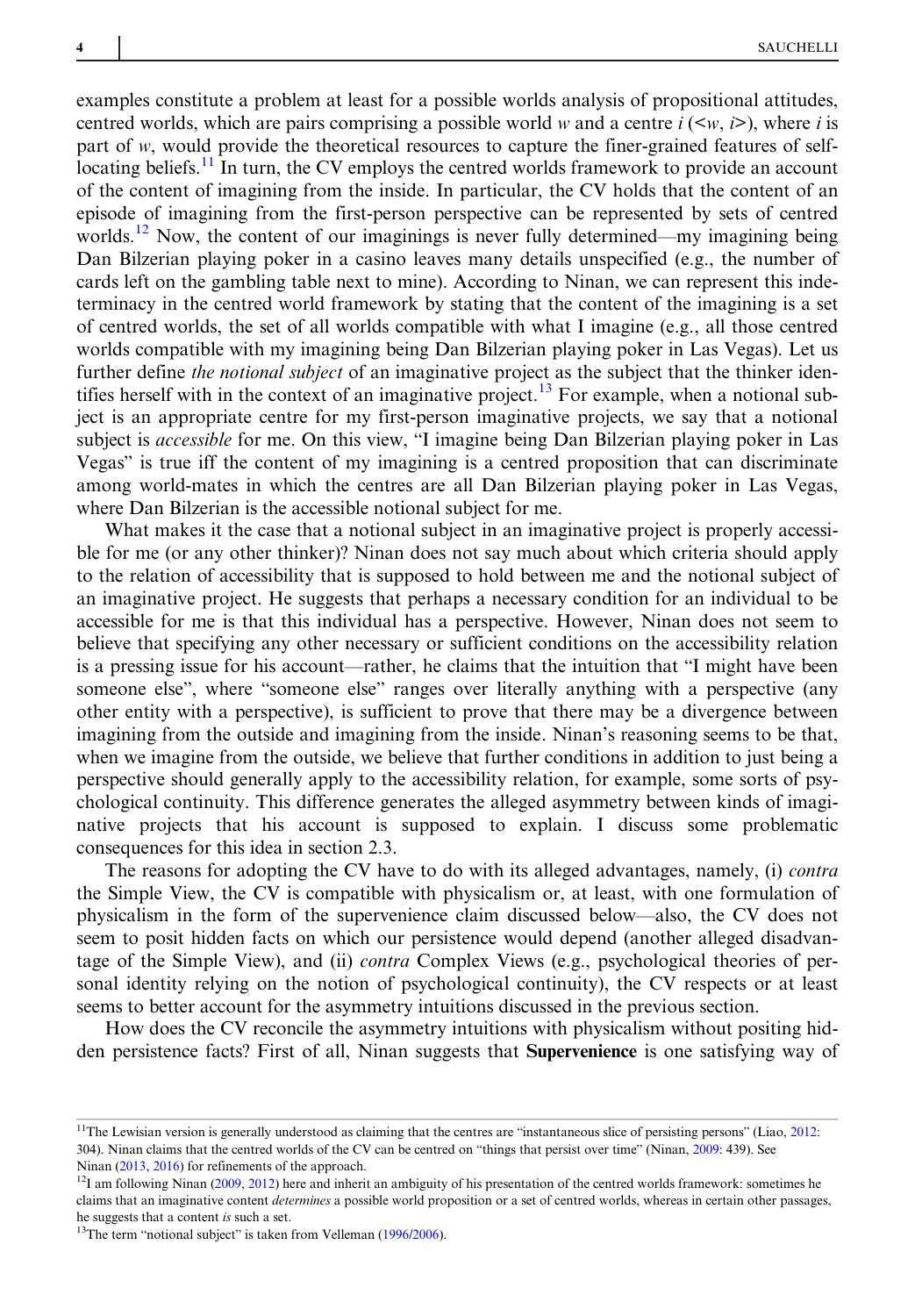examples constitute a problem at least for a possible worlds analysis of propositional attitudes, centred worlds, which are pairs comprising a possible world w and a centre  $i (\leq w, i \geq)$ , where i is part of w, would provide the theoretical resources to capture the finer-grained features of selflocating beliefs.<sup>11</sup> In turn, the CV employs the centred worlds framework to provide an account of the content of imagining from the inside. In particular, the CV holds that the content of an episode of imagining from the first-person perspective can be represented by sets of centred worlds.<sup>12</sup> Now, the content of our imaginings is never fully determined—my imagining being Dan Bilzerian playing poker in a casino leaves many details unspecified (e.g., the number of cards left on the gambling table next to mine). According to Ninan, we can represent this indeterminacy in the centred world framework by stating that the content of the imagining is a set of centred worlds, the set of all worlds compatible with what I imagine (e.g., all those centred worlds compatible with my imagining being Dan Bilzerian playing poker in Las Vegas). Let us further define the notional subject of an imaginative project as the subject that the thinker identifies herself with in the context of an imaginative project.<sup>13</sup> For example, when a notional subject is an appropriate centre for my first-person imaginative projects, we say that a notional subject is *accessible* for me. On this view, "I imagine being Dan Bilzerian playing poker in Las Vegas" is true iff the content of my imagining is a centred proposition that can discriminate among world-mates in which the centres are all Dan Bilzerian playing poker in Las Vegas, where Dan Bilzerian is the accessible notional subject for me.

What makes it the case that a notional subject in an imaginative project is properly accessible for me (or any other thinker)? Ninan does not say much about which criteria should apply to the relation of accessibility that is supposed to hold between me and the notional subject of an imaginative project. He suggests that perhaps a necessary condition for an individual to be accessible for me is that this individual has a perspective. However, Ninan does not seem to believe that specifying any other necessary or sufficient conditions on the accessibility relation is a pressing issue for his account—rather, he claims that the intuition that "I might have been someone else", where "someone else" ranges over literally anything with a perspective (any other entity with a perspective), is sufficient to prove that there may be a divergence between imagining from the outside and imagining from the inside. Ninan's reasoning seems to be that, when we imagine from the outside, we believe that further conditions in addition to just being a perspective should generally apply to the accessibility relation, for example, some sorts of psychological continuity. This difference generates the alleged asymmetry between kinds of imaginative projects that his account is supposed to explain. I discuss some problematic consequences for this idea in section 2.3.

The reasons for adopting the CV have to do with its alleged advantages, namely, (i) *contra* the Simple View, the CV is compatible with physicalism or, at least, with one formulation of physicalism in the form of the supervenience claim discussed below—also, the CV does not seem to posit hidden facts on which our persistence would depend (another alleged disadvantage of the Simple View), and (ii) *contra* Complex Views (e.g., psychological theories of personal identity relying on the notion of psychological continuity), the CV respects or at least seems to better account for the asymmetry intuitions discussed in the previous section.

How does the CV reconcile the asymmetry intuitions with physicalism without positing hidden persistence facts? First of all, Ninan suggests that Supervenience is one satisfying way of

<sup>&</sup>lt;sup>11</sup>The Lewisian version is generally understood as claiming that the centres are "instantaneous slice of persisting persons" (Liao, [2012:](#page-11-0) 304). Ninan claims that the centred worlds of the CV can be centred on "things that persist over time" (Ninan, [2009](#page-11-0): 439). See Ninan [\(2013](#page-12-0), [2016](#page-12-0)) for refinements of the approach.

 $12$ I am following Ninan ([2009,](#page-11-0) [2012\)](#page-12-0) here and inherit an ambiguity of his presentation of the centred worlds framework: sometimes he claims that an imaginative content determines a possible world proposition or a set of centred worlds, whereas in certain other passages, he suggests that a content is such a set.

<sup>&</sup>lt;sup>13</sup>The term "notional subject" is taken from Velleman ([1996/2006\)](#page-12-0).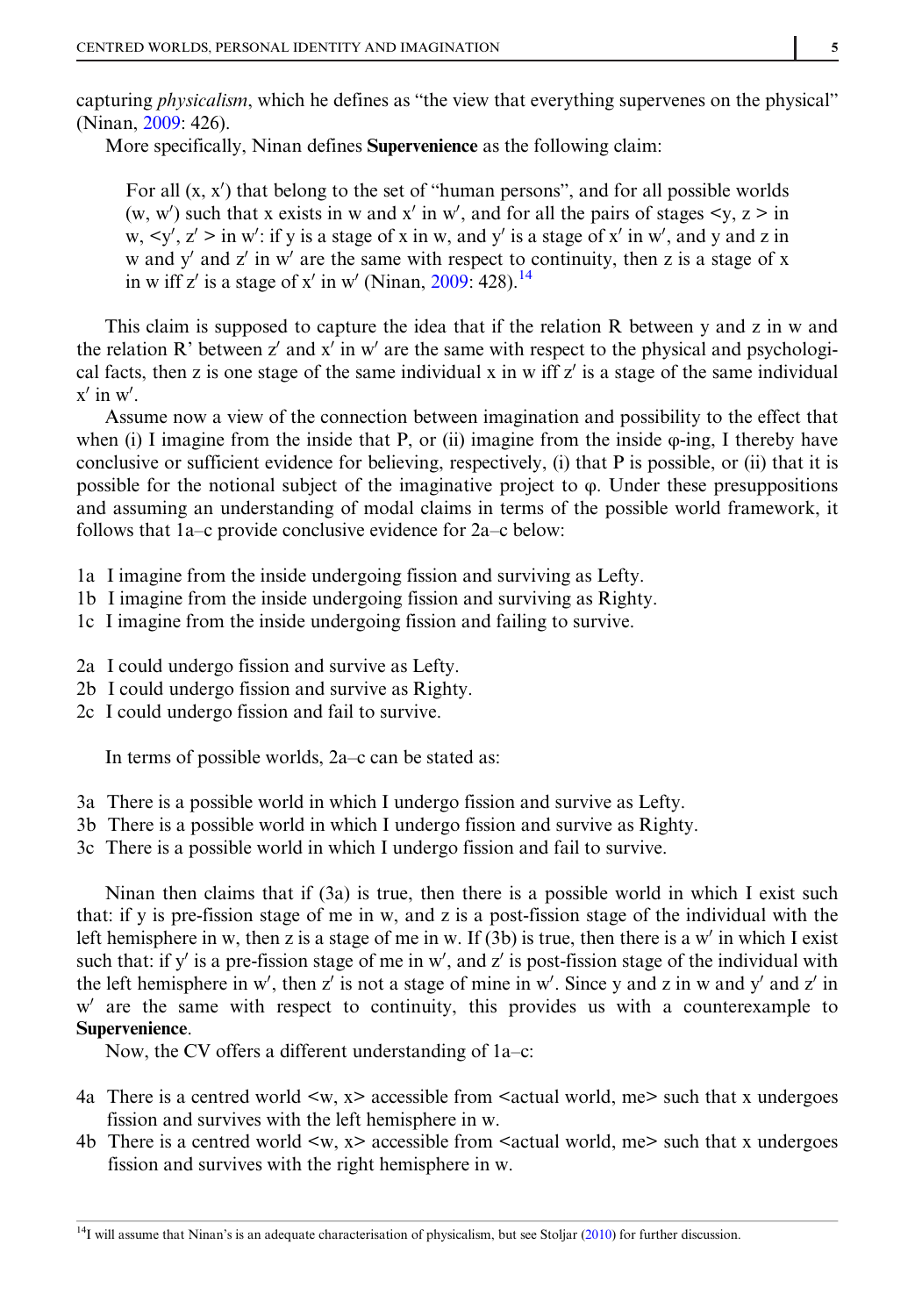capturing *physicalism*, which he defines as "the view that everything supervenes on the physical" (Ninan, [2009:](#page-11-0) 426).

More specifically, Ninan defines Supervenience as the following claim:

For all  $(x, x')$  that belong to the set of "human persons", and for all possible worlds (w, w') such that x exists in w and x' in w', and for all the pairs of stages  $\langle y, z \rangle$  in w,  $\langle y', z' \rangle$  in w': if y is a stage of x in w, and y' is a stage of x' in w', and y and z in w and  $y'$  and z' in w' are the same with respect to continuity, then z is a stage of x in w iff z' is a stage of x' in w' (Ninan, [2009](#page-11-0): 428).<sup>14</sup>

This claim is supposed to capture the idea that if the relation R between y and z in w and the relation R' between z' and x' in w' are the same with respect to the physical and psychological facts, then z is one stage of the same individual x in w iff  $z'$  is a stage of the same individual  $x'$  in w'.

Assume now a view of the connection between imagination and possibility to the effect that when (i) I imagine from the inside that P, or (ii) imagine from the inside  $\varphi$ -ing, I thereby have conclusive or sufficient evidence for believing, respectively, (i) that P is possible, or (ii) that it is possible for the notional subject of the imaginative project to φ. Under these presuppositions and assuming an understanding of modal claims in terms of the possible world framework, it follows that 1a–c provide conclusive evidence for 2a–c below:

- 1a I imagine from the inside undergoing fission and surviving as Lefty.
- 1b I imagine from the inside undergoing fission and surviving as Righty.
- 1c I imagine from the inside undergoing fission and failing to survive.
- 2a I could undergo fission and survive as Lefty.
- 2b I could undergo fission and survive as Righty.
- 2c I could undergo fission and fail to survive.

In terms of possible worlds, 2a–c can be stated as:

- 3a There is a possible world in which I undergo fission and survive as Lefty.
- 3b There is a possible world in which I undergo fission and survive as Righty.
- 3c There is a possible world in which I undergo fission and fail to survive.

Ninan then claims that if (3a) is true, then there is a possible world in which I exist such that: if y is pre-fission stage of me in w, and z is a post-fission stage of the individual with the left hemisphere in w, then z is a stage of me in w. If (3b) is true, then there is a w' in which I exist such that: if y' is a pre-fission stage of me in w', and z' is post-fission stage of the individual with the left hemisphere in w', then z' is not a stage of mine in w'. Since y and z in w and y' and z' in  $w'$  are the same with respect to continuity, this provides us with a counterexample to Supervenience.

Now, the CV offers a different understanding of 1a–c:

- 4a There is a centred world  $\langle w, x \rangle$  accessible from  $\langle x \rangle$  actual world, me  $\langle x \rangle$  such that x undergoes fission and survives with the left hemisphere in w.
- 4b There is a centred world  $\langle w, x \rangle$  accessible from  $\langle x \rangle$  actual world, me  $\langle x \rangle$  such that x undergoes fission and survives with the right hemisphere in w.

 $14$ I will assume that Ninan's is an adequate characterisation of physicalism, but see Stoljar [\(2010](#page-12-0)) for further discussion.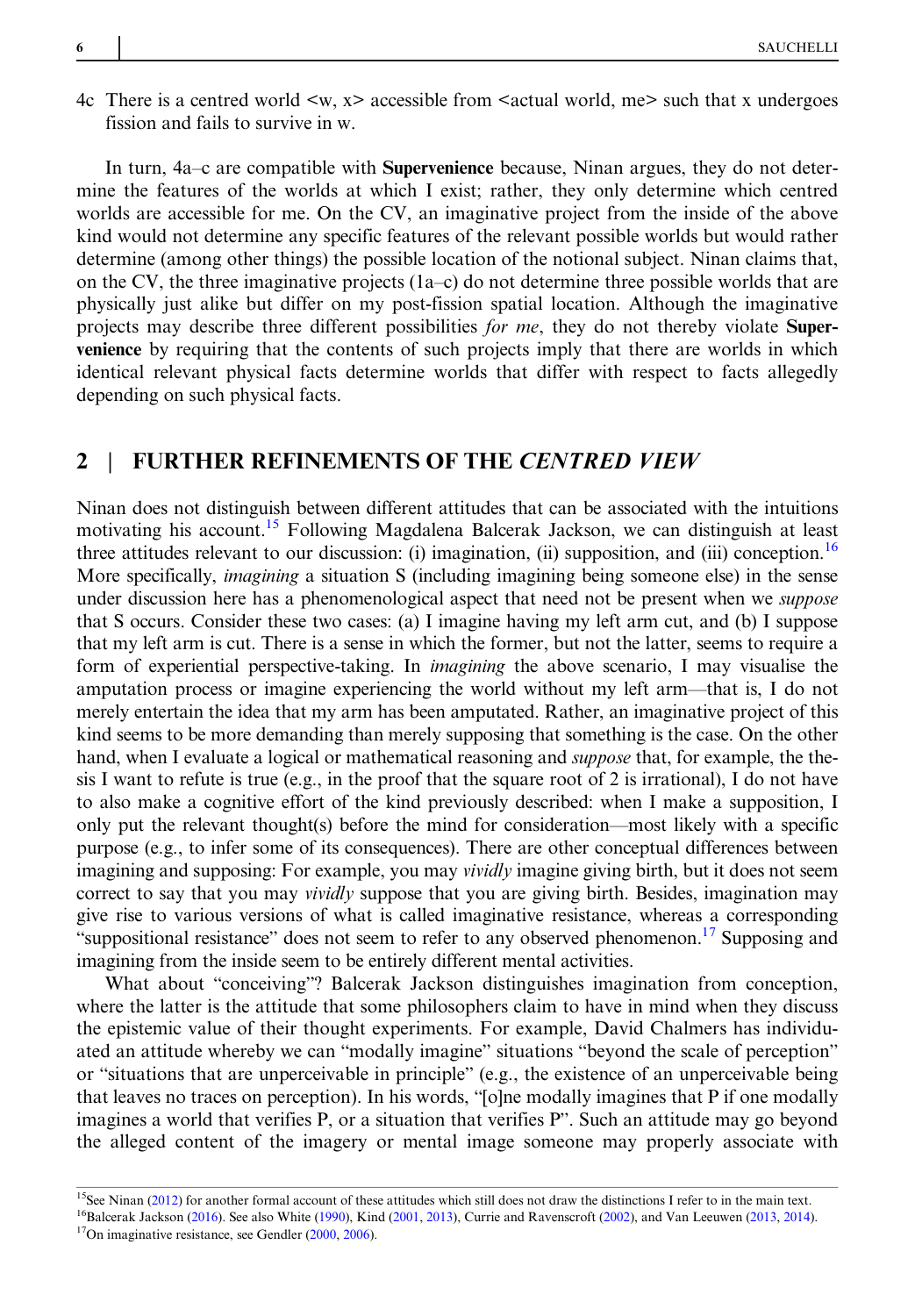4c There is a centred world  $\langle w, x \rangle$  accessible from  $\langle x \rangle$  actual world, me $\langle w \rangle$  such that x undergoes fission and fails to survive in w.

In turn, 4a–c are compatible with Supervenience because, Ninan argues, they do not determine the features of the worlds at which I exist; rather, they only determine which centred worlds are accessible for me. On the CV, an imaginative project from the inside of the above kind would not determine any specific features of the relevant possible worlds but would rather determine (among other things) the possible location of the notional subject. Ninan claims that, on the CV, the three imaginative projects  $(1a-c)$  do not determine three possible worlds that are physically just alike but differ on my post-fission spatial location. Although the imaginative projects may describe three different possibilities for me, they do not thereby violate Supervenience by requiring that the contents of such projects imply that there are worlds in which identical relevant physical facts determine worlds that differ with respect to facts allegedly depending on such physical facts.

## 2 | FURTHER REFINEMENTS OF THE CENTRED VIEW

Ninan does not distinguish between different attitudes that can be associated with the intuitions motivating his account.<sup>15</sup> Following Magdalena Balcerak Jackson, we can distinguish at least three attitudes relevant to our discussion: (i) imagination, (ii) supposition, and (iii) conception.<sup>16</sup> More specifically, imagining a situation S (including imagining being someone else) in the sense under discussion here has a phenomenological aspect that need not be present when we *suppose* that S occurs. Consider these two cases: (a) I imagine having my left arm cut, and (b) I suppose that my left arm is cut. There is a sense in which the former, but not the latter, seems to require a form of experiential perspective-taking. In imagining the above scenario, I may visualise the amputation process or imagine experiencing the world without my left arm—that is, I do not merely entertain the idea that my arm has been amputated. Rather, an imaginative project of this kind seems to be more demanding than merely supposing that something is the case. On the other hand, when I evaluate a logical or mathematical reasoning and *suppose* that, for example, the thesis I want to refute is true (e.g., in the proof that the square root of 2 is irrational). I do not have to also make a cognitive effort of the kind previously described: when I make a supposition, I only put the relevant thought(s) before the mind for consideration—most likely with a specific purpose (e.g., to infer some of its consequences). There are other conceptual differences between imagining and supposing: For example, you may *vividly* imagine giving birth, but it does not seem correct to say that you may *vividly* suppose that you are giving birth. Besides, imagination may give rise to various versions of what is called imaginative resistance, whereas a corresponding "suppositional resistance" does not seem to refer to any observed phenomenon.<sup>17</sup> Supposing and imagining from the inside seem to be entirely different mental activities.

What about "conceiving"? Balcerak Jackson distinguishes imagination from conception, where the latter is the attitude that some philosophers claim to have in mind when they discuss the epistemic value of their thought experiments. For example, David Chalmers has individuated an attitude whereby we can "modally imagine" situations "beyond the scale of perception" or "situations that are unperceivable in principle" (e.g., the existence of an unperceivable being that leaves no traces on perception). In his words, "[o]ne modally imagines that P if one modally imagines a world that verifies P, or a situation that verifies P". Such an attitude may go beyond the alleged content of the imagery or mental image someone may properly associate with

<sup>17</sup>On imaginative resistance, see Gendler [\(2000](#page-11-0), [2006\)](#page-11-0).

<sup>&</sup>lt;sup>15</sup>See Ninan [\(2012](#page-12-0)) for another formal account of these attitudes which still does not draw the distinctions I refer to in the main text. 16Balcerak Jackson [\(2016](#page-11-0)). See also White ([1990\)](#page-12-0), Kind [\(2001](#page-11-0), [2013](#page-11-0)), Currie and Ravenscroft ([2002\)](#page-11-0), and Van Leeuwen ([2013,](#page-12-0) [2014](#page-12-0)).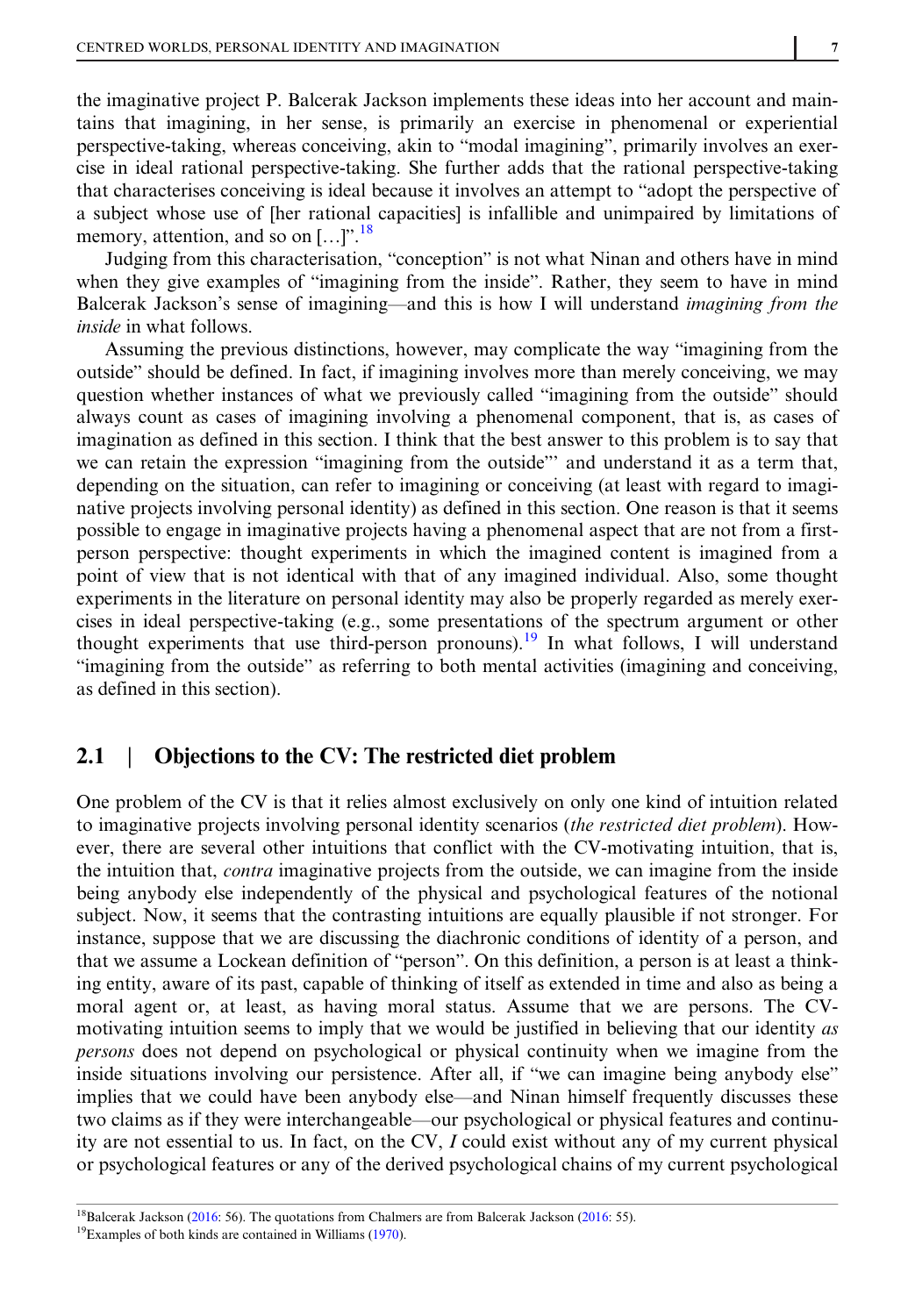the imaginative project P. Balcerak Jackson implements these ideas into her account and maintains that imagining, in her sense, is primarily an exercise in phenomenal or experiential perspective-taking, whereas conceiving, akin to "modal imagining", primarily involves an exercise in ideal rational perspective-taking. She further adds that the rational perspective-taking that characterises conceiving is ideal because it involves an attempt to "adopt the perspective of a subject whose use of [her rational capacities] is infallible and unimpaired by limitations of memory, attention, and so on  $[...]$ <sup>". 18</sup>

Judging from this characterisation, "conception" is not what Ninan and others have in mind when they give examples of "imagining from the inside". Rather, they seem to have in mind Balcerak Jackson's sense of imagining—and this is how I will understand imagining from the inside in what follows.

Assuming the previous distinctions, however, may complicate the way "imagining from the outside" should be defined. In fact, if imagining involves more than merely conceiving, we may question whether instances of what we previously called "imagining from the outside" should always count as cases of imagining involving a phenomenal component, that is, as cases of imagination as defined in this section. I think that the best answer to this problem is to say that we can retain the expression "imagining from the outside"' and understand it as a term that, depending on the situation, can refer to imagining or conceiving (at least with regard to imaginative projects involving personal identity) as defined in this section. One reason is that it seems possible to engage in imaginative projects having a phenomenal aspect that are not from a firstperson perspective: thought experiments in which the imagined content is imagined from a point of view that is not identical with that of any imagined individual. Also, some thought experiments in the literature on personal identity may also be properly regarded as merely exercises in ideal perspective-taking (e.g., some presentations of the spectrum argument or other thought experiments that use third-person pronouns).<sup>19</sup> In what follows, I will understand "imagining from the outside" as referring to both mental activities (imagining and conceiving, as defined in this section).

## 2.1 | Objections to the CV: The restricted diet problem

One problem of the CV is that it relies almost exclusively on only one kind of intuition related to imaginative projects involving personal identity scenarios *(the restricted diet problem)*. However, there are several other intuitions that conflict with the CV-motivating intuition, that is, the intuition that, contra imaginative projects from the outside, we can imagine from the inside being anybody else independently of the physical and psychological features of the notional subject. Now, it seems that the contrasting intuitions are equally plausible if not stronger. For instance, suppose that we are discussing the diachronic conditions of identity of a person, and that we assume a Lockean definition of "person". On this definition, a person is at least a thinking entity, aware of its past, capable of thinking of itself as extended in time and also as being a moral agent or, at least, as having moral status. Assume that we are persons. The CVmotivating intuition seems to imply that we would be justified in believing that our identity as persons does not depend on psychological or physical continuity when we imagine from the inside situations involving our persistence. After all, if "we can imagine being anybody else" implies that we could have been anybody else—and Ninan himself frequently discusses these two claims as if they were interchangeable—our psychological or physical features and continuity are not essential to us. In fact, on the CV,  $I$  could exist without any of my current physical or psychological features or any of the derived psychological chains of my current psychological

<sup>&</sup>lt;sup>18</sup>Balcerak Jackson [\(2016](#page-11-0): 56). The quotations from Chalmers are from Balcerak Jackson (2016: 55).

<sup>&</sup>lt;sup>19</sup>Examples of both kinds are contained in Williams [\(1970](#page-12-0)).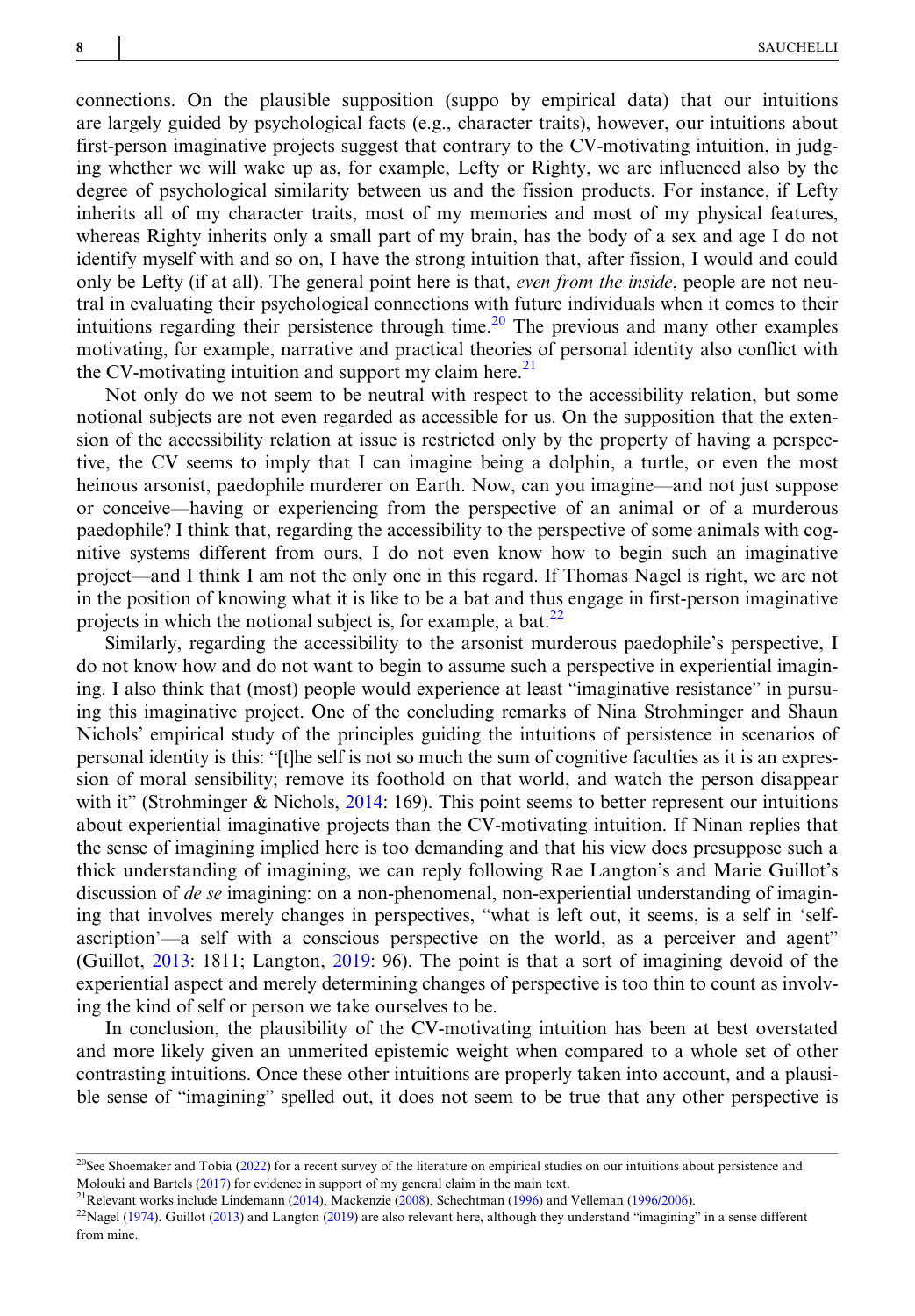connections. On the plausible supposition (suppo by empirical data) that our intuitions are largely guided by psychological facts (e.g., character traits), however, our intuitions about first-person imaginative projects suggest that contrary to the CV-motivating intuition, in judging whether we will wake up as, for example, Lefty or Righty, we are influenced also by the degree of psychological similarity between us and the fission products. For instance, if Lefty inherits all of my character traits, most of my memories and most of my physical features, whereas Righty inherits only a small part of my brain, has the body of a sex and age I do not identify myself with and so on, I have the strong intuition that, after fission, I would and could only be Lefty (if at all). The general point here is that, *even from the inside*, people are not neutral in evaluating their psychological connections with future individuals when it comes to their intuitions regarding their persistence through time.<sup>20</sup> The previous and many other examples motivating, for example, narrative and practical theories of personal identity also conflict with the CV-motivating intuition and support my claim here.<sup>21</sup>

Not only do we not seem to be neutral with respect to the accessibility relation, but some notional subjects are not even regarded as accessible for us. On the supposition that the extension of the accessibility relation at issue is restricted only by the property of having a perspective, the CV seems to imply that I can imagine being a dolphin, a turtle, or even the most heinous arsonist, paedophile murderer on Earth. Now, can you imagine—and not just suppose or conceive—having or experiencing from the perspective of an animal or of a murderous paedophile? I think that, regarding the accessibility to the perspective of some animals with cognitive systems different from ours, I do not even know how to begin such an imaginative project—and I think I am not the only one in this regard. If Thomas Nagel is right, we are not in the position of knowing what it is like to be a bat and thus engage in first-person imaginative projects in which the notional subject is, for example, a bat. $^{22}$ 

Similarly, regarding the accessibility to the arsonist murderous paedophile's perspective, I do not know how and do not want to begin to assume such a perspective in experiential imagining. I also think that (most) people would experience at least "imaginative resistance" in pursuing this imaginative project. One of the concluding remarks of Nina Strohminger and Shaun Nichols' empirical study of the principles guiding the intuitions of persistence in scenarios of personal identity is this: "[t]he self is not so much the sum of cognitive faculties as it is an expression of moral sensibility; remove its foothold on that world, and watch the person disappear with it" (Strohminger & Nichols, [2014:](#page-12-0) 169). This point seems to better represent our intuitions about experiential imaginative projects than the CV-motivating intuition. If Ninan replies that the sense of imagining implied here is too demanding and that his view does presuppose such a thick understanding of imagining, we can reply following Rae Langton's and Marie Guillot's discussion of *de se* imagining: on a non-phenomenal, non-experiential understanding of imagining that involves merely changes in perspectives, "what is left out, it seems, is a self in 'selfascription'—a self with a conscious perspective on the world, as a perceiver and agent" (Guillot, [2013:](#page-11-0) 1811; Langton, [2019](#page-11-0): 96). The point is that a sort of imagining devoid of the experiential aspect and merely determining changes of perspective is too thin to count as involving the kind of self or person we take ourselves to be.

In conclusion, the plausibility of the CV-motivating intuition has been at best overstated and more likely given an unmerited epistemic weight when compared to a whole set of other contrasting intuitions. Once these other intuitions are properly taken into account, and a plausible sense of "imagining" spelled out, it does not seem to be true that any other perspective is

 $20$ See Shoemaker and Tobia [\(2022](#page-12-0)) for a recent survey of the literature on empirical studies on our intuitions about persistence and Molouki and Bartels ([2017\)](#page-11-0) for evidence in support of my general claim in the main text.

<sup>&</sup>lt;sup>21</sup>Relevant works include Lindemann [\(2014](#page-11-0)), Mackenzie [\(2008](#page-11-0)), Schechtman ([1996\)](#page-12-0) and Velleman ([1996/2006\)](#page-12-0).

 $22$ Nagel ([1974\)](#page-11-0). Guillot [\(2013](#page-11-0)) and Langton [\(2019](#page-11-0)) are also relevant here, although they understand "imagining" in a sense different from mine.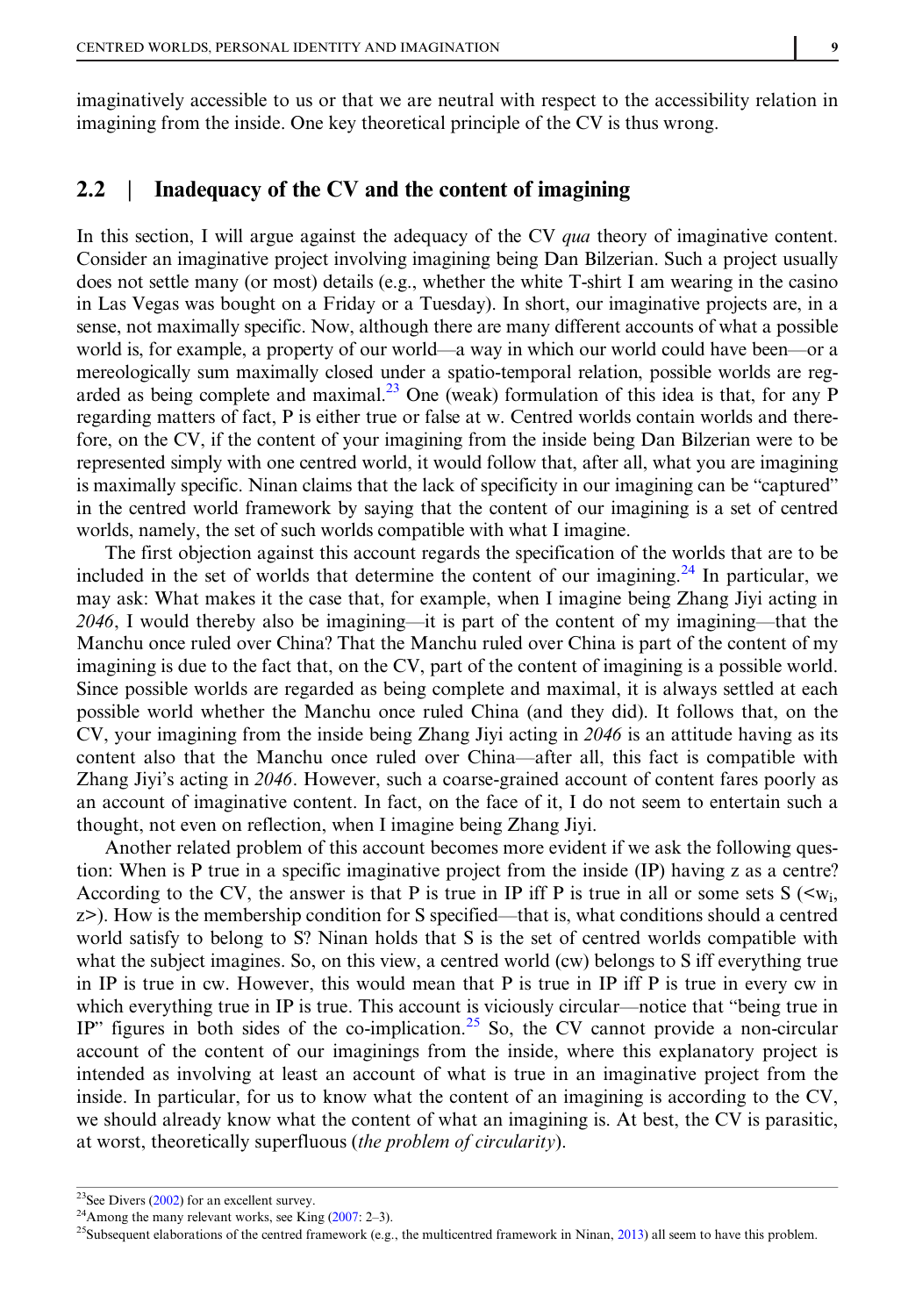imaginatively accessible to us or that we are neutral with respect to the accessibility relation in imagining from the inside. One key theoretical principle of the CV is thus wrong.

## 2.2 | Inadequacy of the CV and the content of imagining

In this section, I will argue against the adequacy of the CV *qua* theory of imaginative content. Consider an imaginative project involving imagining being Dan Bilzerian. Such a project usually does not settle many (or most) details (e.g., whether the white T-shirt I am wearing in the casino in Las Vegas was bought on a Friday or a Tuesday). In short, our imaginative projects are, in a sense, not maximally specific. Now, although there are many different accounts of what a possible world is, for example, a property of our world—a way in which our world could have been—or a mereologically sum maximally closed under a spatio-temporal relation, possible worlds are regarded as being complete and maximal.<sup>23</sup> One (weak) formulation of this idea is that, for any P regarding matters of fact, P is either true or false at w. Centred worlds contain worlds and therefore, on the CV, if the content of your imagining from the inside being Dan Bilzerian were to be represented simply with one centred world, it would follow that, after all, what you are imagining is maximally specific. Ninan claims that the lack of specificity in our imagining can be "captured" in the centred world framework by saying that the content of our imagining is a set of centred worlds, namely, the set of such worlds compatible with what I imagine.

The first objection against this account regards the specification of the worlds that are to be included in the set of worlds that determine the content of our imagining.<sup>24</sup> In particular, we may ask: What makes it the case that, for example, when I imagine being Zhang Jiyi acting in 2046. I would thereby also be imagining—it is part of the content of my imagining—that the Manchu once ruled over China? That the Manchu ruled over China is part of the content of my imagining is due to the fact that, on the CV, part of the content of imagining is a possible world. Since possible worlds are regarded as being complete and maximal, it is always settled at each possible world whether the Manchu once ruled China (and they did). It follows that, on the CV, your imagining from the inside being Zhang Jiyi acting in 2046 is an attitude having as its content also that the Manchu once ruled over China—after all, this fact is compatible with Zhang Jiyi's acting in 2046. However, such a coarse-grained account of content fares poorly as an account of imaginative content. In fact, on the face of it, I do not seem to entertain such a thought, not even on reflection, when I imagine being Zhang Jiyi.

Another related problem of this account becomes more evident if we ask the following question: When is P true in a specific imaginative project from the inside (IP) having z as a centre? According to the CV, the answer is that P is true in IP iff P is true in all or some sets  $S(\langle w_i,$ z>). How is the membership condition for S specified—that is, what conditions should a centred world satisfy to belong to S? Ninan holds that S is the set of centred worlds compatible with what the subject imagines. So, on this view, a centred world (cw) belongs to S iff everything true in IP is true in cw. However, this would mean that P is true in IP iff P is true in every cw in which everything true in IP is true. This account is viciously circular—notice that "being true in IP" figures in both sides of the co-implication.<sup>25</sup> So, the CV cannot provide a non-circular account of the content of our imaginings from the inside, where this explanatory project is intended as involving at least an account of what is true in an imaginative project from the inside. In particular, for us to know what the content of an imagining is according to the CV, we should already know what the content of what an imagining is. At best, the CV is parasitic, at worst, theoretically superfluous (the problem of circularity).

<sup>&</sup>lt;sup>23</sup>See Divers ( $2002$ ) for an excellent survey.

<sup>&</sup>lt;sup>24</sup>Among the many relevant works, see King  $(2007: 2-3)$  $(2007: 2-3)$ .

 $25$ Subsequent elaborations of the centred framework (e.g., the multicentred framework in Ninan, [2013](#page-12-0)) all seem to have this problem.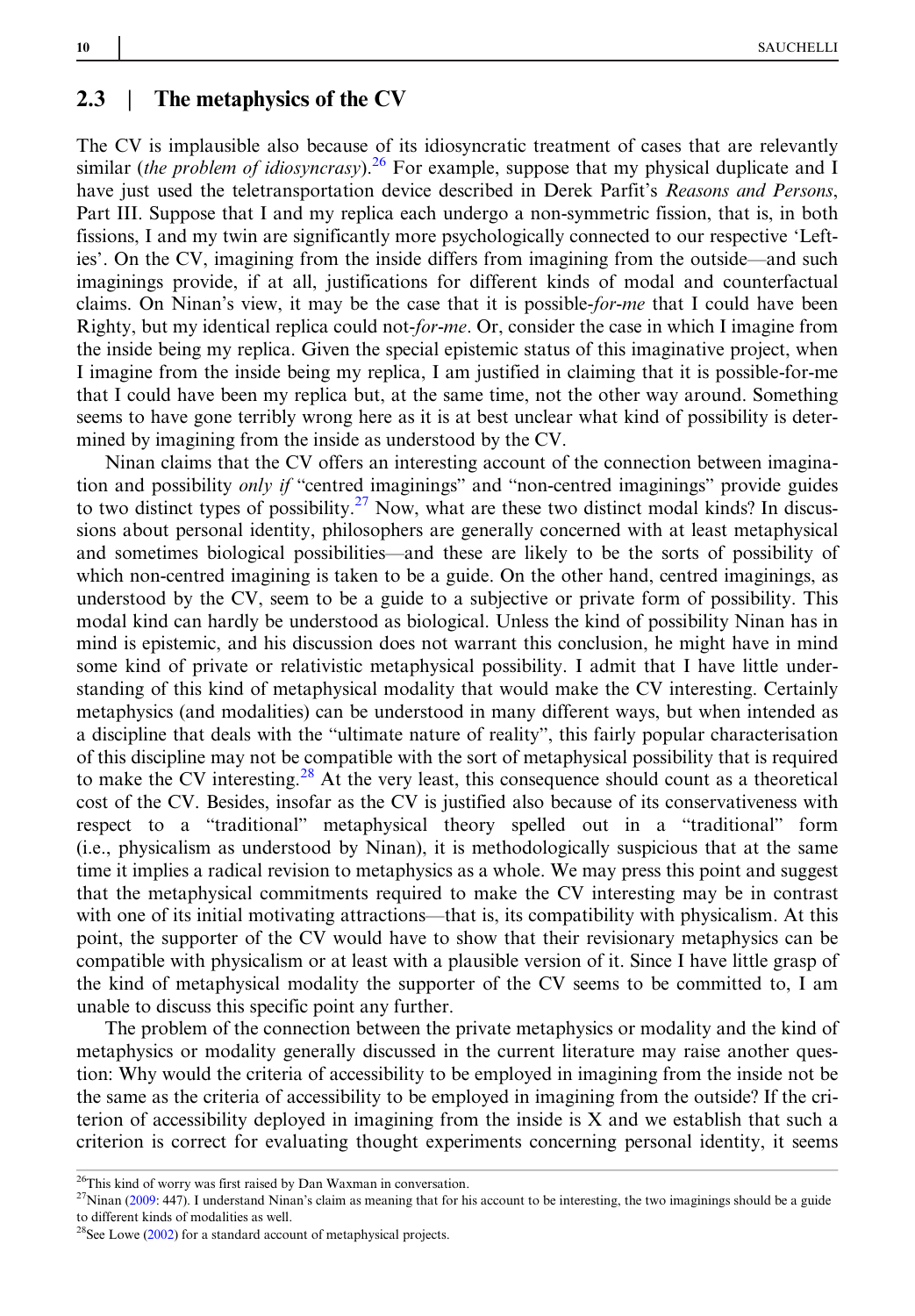#### 2.3 The metaphysics of the CV

The CV is implausible also because of its idiosyncratic treatment of cases that are relevantly similar (the problem of idiosyncrasy).<sup>26</sup> For example, suppose that my physical duplicate and I have just used the teletransportation device described in Derek Parfit's Reasons and Persons, Part III. Suppose that I and my replica each undergo a non-symmetric fission, that is, in both fissions, I and my twin are significantly more psychologically connected to our respective 'Lefties'. On the CV, imagining from the inside differs from imagining from the outside—and such imaginings provide, if at all, justifications for different kinds of modal and counterfactual claims. On Ninan's view, it may be the case that it is possible-for-me that I could have been Righty, but my identical replica could not-for-me. Or, consider the case in which I imagine from the inside being my replica. Given the special epistemic status of this imaginative project, when I imagine from the inside being my replica, I am justified in claiming that it is possible-for-me that I could have been my replica but, at the same time, not the other way around. Something seems to have gone terribly wrong here as it is at best unclear what kind of possibility is determined by imagining from the inside as understood by the CV.

Ninan claims that the CV offers an interesting account of the connection between imagination and possibility only if "centred imaginings" and "non-centred imaginings" provide guides to two distinct types of possibility.<sup>27</sup> Now, what are these two distinct modal kinds? In discussions about personal identity, philosophers are generally concerned with at least metaphysical and sometimes biological possibilities—and these are likely to be the sorts of possibility of which non-centred imagining is taken to be a guide. On the other hand, centred imaginings, as understood by the CV, seem to be a guide to a subjective or private form of possibility. This modal kind can hardly be understood as biological. Unless the kind of possibility Ninan has in mind is epistemic, and his discussion does not warrant this conclusion, he might have in mind some kind of private or relativistic metaphysical possibility. I admit that I have little understanding of this kind of metaphysical modality that would make the CV interesting. Certainly metaphysics (and modalities) can be understood in many different ways, but when intended as a discipline that deals with the "ultimate nature of reality", this fairly popular characterisation of this discipline may not be compatible with the sort of metaphysical possibility that is required to make the CV interesting.<sup>28</sup> At the very least, this consequence should count as a theoretical cost of the CV. Besides, insofar as the CV is justified also because of its conservativeness with respect to a "traditional" metaphysical theory spelled out in a "traditional" form (i.e., physicalism as understood by Ninan), it is methodologically suspicious that at the same time it implies a radical revision to metaphysics as a whole. We may press this point and suggest that the metaphysical commitments required to make the CV interesting may be in contrast with one of its initial motivating attractions—that is, its compatibility with physicalism. At this point, the supporter of the CV would have to show that their revisionary metaphysics can be compatible with physicalism or at least with a plausible version of it. Since I have little grasp of the kind of metaphysical modality the supporter of the CV seems to be committed to, I am unable to discuss this specific point any further.

The problem of the connection between the private metaphysics or modality and the kind of metaphysics or modality generally discussed in the current literature may raise another question: Why would the criteria of accessibility to be employed in imagining from the inside not be the same as the criteria of accessibility to be employed in imagining from the outside? If the criterion of accessibility deployed in imagining from the inside is X and we establish that such a criterion is correct for evaluating thought experiments concerning personal identity, it seems

<sup>26</sup>This kind of worry was first raised by Dan Waxman in conversation.

 $27$ Ninan ([2009:](#page-11-0) 447). I understand Ninan's claim as meaning that for his account to be interesting, the two imaginings should be a guide to different kinds of modalities as well.

<sup>28</sup>See Lowe [\(2002](#page-11-0)) for a standard account of metaphysical projects.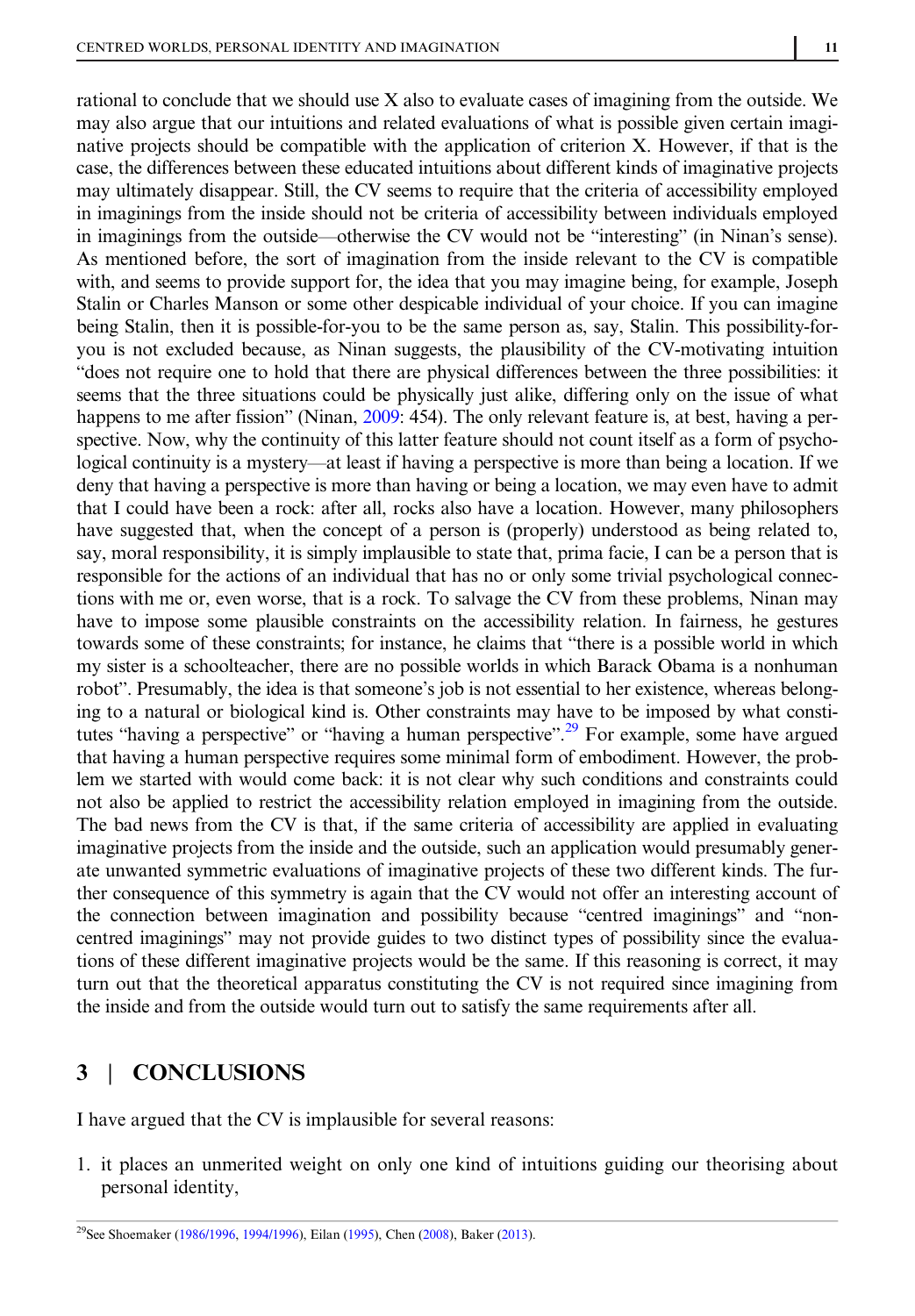rational to conclude that we should use X also to evaluate cases of imagining from the outside. We may also argue that our intuitions and related evaluations of what is possible given certain imaginative projects should be compatible with the application of criterion X. However, if that is the case, the differences between these educated intuitions about different kinds of imaginative projects may ultimately disappear. Still, the CV seems to require that the criteria of accessibility employed in imaginings from the inside should not be criteria of accessibility between individuals employed in imaginings from the outside—otherwise the CV would not be "interesting" (in Ninan's sense). As mentioned before, the sort of imagination from the inside relevant to the CV is compatible with, and seems to provide support for, the idea that you may imagine being, for example, Joseph Stalin or Charles Manson or some other despicable individual of your choice. If you can imagine being Stalin, then it is possible-for-you to be the same person as, say, Stalin. This possibility-foryou is not excluded because, as Ninan suggests, the plausibility of the CV-motivating intuition "does not require one to hold that there are physical differences between the three possibilities: it seems that the three situations could be physically just alike, differing only on the issue of what happens to me after fission" (Ninan, [2009:](#page-11-0) 454). The only relevant feature is, at best, having a perspective. Now, why the continuity of this latter feature should not count itself as a form of psychological continuity is a mystery—at least if having a perspective is more than being a location. If we deny that having a perspective is more than having or being a location, we may even have to admit that I could have been a rock: after all, rocks also have a location. However, many philosophers have suggested that, when the concept of a person is (properly) understood as being related to, say, moral responsibility, it is simply implausible to state that, prima facie, I can be a person that is responsible for the actions of an individual that has no or only some trivial psychological connections with me or, even worse, that is a rock. To salvage the CV from these problems, Ninan may have to impose some plausible constraints on the accessibility relation. In fairness, he gestures towards some of these constraints; for instance, he claims that "there is a possible world in which my sister is a schoolteacher, there are no possible worlds in which Barack Obama is a nonhuman robot". Presumably, the idea is that someone's job is not essential to her existence, whereas belonging to a natural or biological kind is. Other constraints may have to be imposed by what constitutes "having a perspective" or "having a human perspective".<sup>29</sup> For example, some have argued that having a human perspective requires some minimal form of embodiment. However, the problem we started with would come back: it is not clear why such conditions and constraints could not also be applied to restrict the accessibility relation employed in imagining from the outside. The bad news from the CV is that, if the same criteria of accessibility are applied in evaluating imaginative projects from the inside and the outside, such an application would presumably generate unwanted symmetric evaluations of imaginative projects of these two different kinds. The further consequence of this symmetry is again that the CV would not offer an interesting account of the connection between imagination and possibility because "centred imaginings" and "noncentred imaginings" may not provide guides to two distinct types of possibility since the evaluations of these different imaginative projects would be the same. If this reasoning is correct, it may turn out that the theoretical apparatus constituting the CV is not required since imagining from the inside and from the outside would turn out to satisfy the same requirements after all.

## 3 | CONCLUSIONS

I have argued that the CV is implausible for several reasons:

1. it places an unmerited weight on only one kind of intuitions guiding our theorising about personal identity,

<sup>&</sup>lt;sup>29</sup>See Shoemaker ([1986/1996,](#page-12-0) [1994/1996](#page-12-0)), Eilan [\(1995](#page-11-0)), Chen [\(2008](#page-11-0)), Baker ([2013\)](#page-11-0).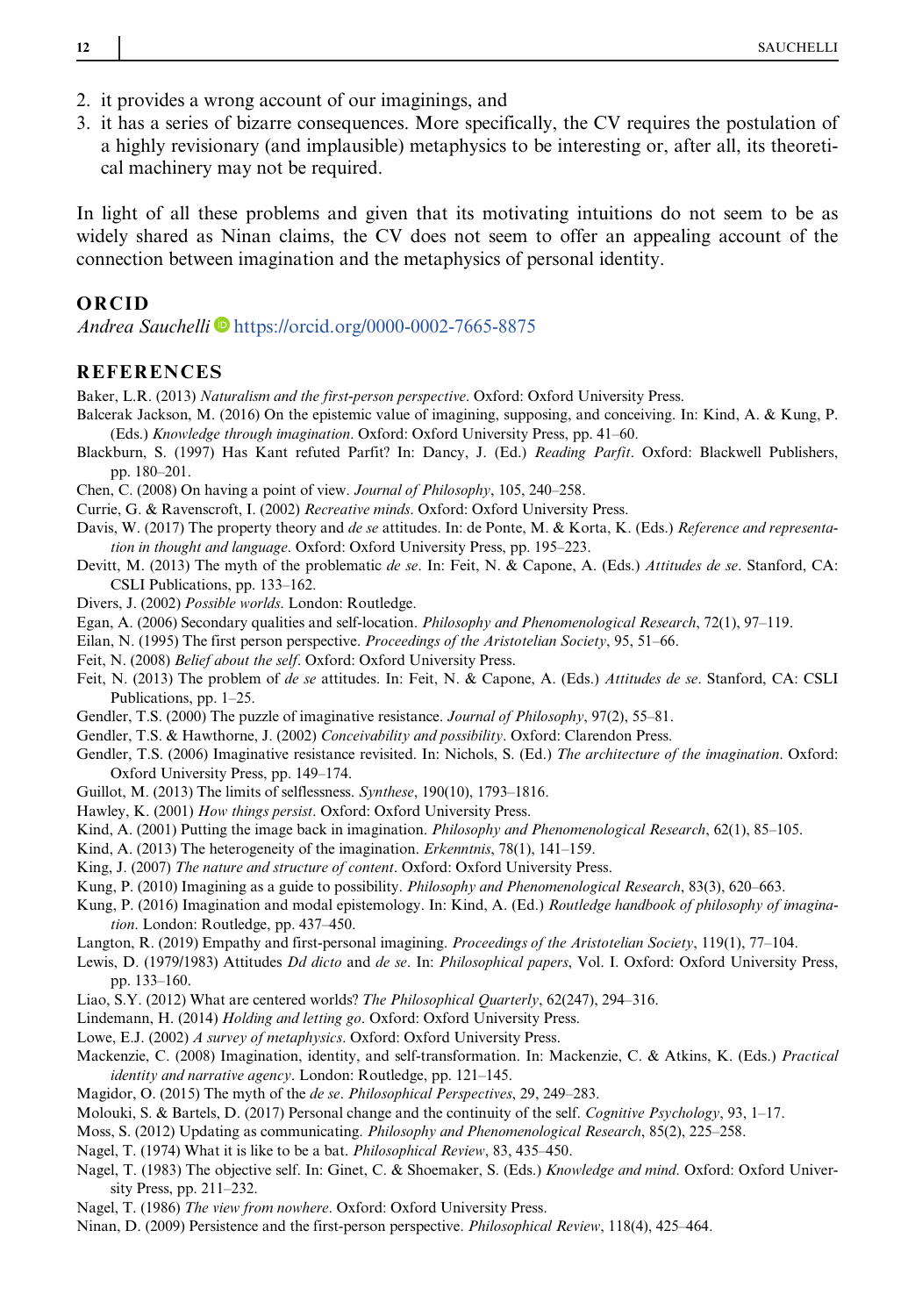- 2. it provides a wrong account of our imaginings, and
- 3. it has a series of bizarre consequences. More specifically, the CV requires the postulation of a highly revisionary (and implausible) metaphysics to be interesting or, after all, its theoretical machinery may not be required.

In light of all these problems and given that its motivating intuitions do not seem to be as widely shared as Ninan claims, the CV does not seem to offer an appealing account of the connection between imagination and the metaphysics of personal identity.

#### **ORCID**

Andrea Sauchelli <https://orcid.org/0000-0002-7665-8875>

#### **REFERENCES**

Baker, L.R. (2013) Naturalism and the first-person perspective. Oxford: Oxford University Press.

- Balcerak Jackson, M. (2016) On the epistemic value of imagining, supposing, and conceiving. In: Kind, A. & Kung, P. (Eds.) Knowledge through imagination. Oxford: Oxford University Press, pp. 41–60.
- Blackburn, S. (1997) Has Kant refuted Parfit? In: Dancy, J. (Ed.) Reading Parfit. Oxford: Blackwell Publishers, pp. 180–201.
- Chen, C. (2008) On having a point of view. Journal of Philosophy, 105, 240–258.
- Currie, G. & Ravenscroft, I. (2002) Recreative minds. Oxford: Oxford University Press.
- Davis, W. (2017) The property theory and de se attitudes. In: de Ponte, M. & Korta, K. (Eds.) Reference and representation in thought and language. Oxford: Oxford University Press, pp. 195–223.
- Devitt, M. (2013) The myth of the problematic de se. In: Feit, N. & Capone, A. (Eds.) Attitudes de se. Stanford, CA: CSLI Publications, pp. 133–162.
- Divers, J. (2002) Possible worlds. London: Routledge.
- Egan, A. (2006) Secondary qualities and self-location. Philosophy and Phenomenological Research, 72(1), 97–119.
- Eilan, N. (1995) The first person perspective. Proceedings of the Aristotelian Society, 95, 51–66.
- Feit, N. (2008) Belief about the self. Oxford: Oxford University Press.
- Feit, N. (2013) The problem of de se attitudes. In: Feit, N. & Capone, A. (Eds.) Attitudes de se. Stanford, CA: CSLI Publications, pp. 1–25.
- Gendler, T.S. (2000) The puzzle of imaginative resistance. Journal of Philosophy, 97(2), 55–81.
- Gendler, T.S. & Hawthorne, J. (2002) Conceivability and possibility. Oxford: Clarendon Press.
- Gendler, T.S. (2006) Imaginative resistance revisited. In: Nichols, S. (Ed.) The architecture of the imagination. Oxford: Oxford University Press, pp. 149–174.
- Guillot, M. (2013) The limits of selflessness. Synthese, 190(10), 1793–1816.
- Hawley, K. (2001) How things persist. Oxford: Oxford University Press.
- Kind, A. (2001) Putting the image back in imagination. *Philosophy and Phenomenological Research*, 62(1), 85–105.
- Kind, A. (2013) The heterogeneity of the imagination. Erkenntnis, 78(1), 141–159.
- King, J. (2007) The nature and structure of content. Oxford: Oxford University Press.
- Kung, P. (2010) Imagining as a guide to possibility. Philosophy and Phenomenological Research, 83(3), 620–663.
- Kung, P. (2016) Imagination and modal epistemology. In: Kind, A. (Ed.) Routledge handbook of philosophy of imagination. London: Routledge, pp. 437–450.
- Langton, R. (2019) Empathy and first-personal imagining. Proceedings of the Aristotelian Society, 119(1), 77–104.
- Lewis, D. (1979/1983) Attitudes Dd dicto and de se. In: Philosophical papers, Vol. I. Oxford: Oxford University Press, pp. 133–160.
- Liao, S.Y. (2012) What are centered worlds? The Philosophical Quarterly, 62(247), 294–316.
- Lindemann, H. (2014) Holding and letting go. Oxford: Oxford University Press.
- Lowe, E.J. (2002) A survey of metaphysics. Oxford: Oxford University Press.
- Mackenzie, C. (2008) Imagination, identity, and self-transformation. In: Mackenzie, C. & Atkins, K. (Eds.) Practical identity and narrative agency. London: Routledge, pp. 121–145.
- Magidor, O. (2015) The myth of the de se. Philosophical Perspectives, 29, 249–283.
- Molouki, S. & Bartels, D. (2017) Personal change and the continuity of the self. Cognitive Psychology, 93, 1–17.
- Moss, S. (2012) Updating as communicating. Philosophy and Phenomenological Research, 85(2), 225–258.
- Nagel, T. (1974) What it is like to be a bat. Philosophical Review, 83, 435–450.
- Nagel, T. (1983) The objective self. In: Ginet, C. & Shoemaker, S. (Eds.) Knowledge and mind. Oxford: Oxford University Press, pp. 211–232.
- Nagel, T. (1986) The view from nowhere. Oxford: Oxford University Press.
- Ninan, D. (2009) Persistence and the first-person perspective. Philosophical Review, 118(4), 425–464.

<span id="page-11-0"></span>